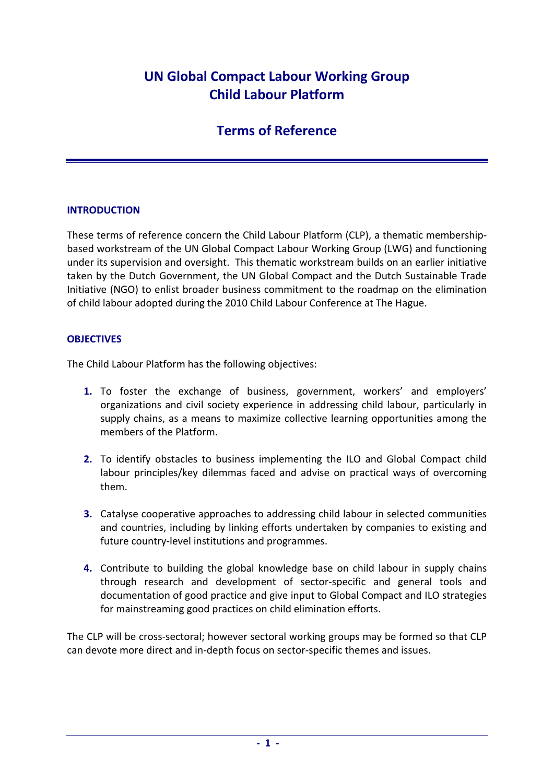# **UN Global Compact Labour Working Group Child Labour Platform**

# **Terms of Reference**

# **INTRODUCTION**

These terms of reference concern the Child Labour Platform (CLP), a thematic membership‐ based workstream of the UN Global Compact Labour Working Group (LWG) and functioning under its supervision and oversight. This thematic workstream builds on an earlier initiative taken by the Dutch Government, the UN Global Compact and the Dutch Sustainable Trade Initiative (NGO) to enlist broader business commitment to the roadmap on the elimination of child labour adopted during the 2010 Child Labour Conference at The Hague.

#### **OBJECTIVES**

The Child Labour Platform has the following objectives:

- **1.** To foster the exchange of business, government, workers' and employers' organizations and civil society experience in addressing child labour, particularly in supply chains, as a means to maximize collective learning opportunities among the members of the Platform.
- **2.** To identify obstacles to business implementing the ILO and Global Compact child labour principles/key dilemmas faced and advise on practical ways of overcoming them.
- **3.** Catalyse cooperative approaches to addressing child labour in selected communities and countries, including by linking efforts undertaken by companies to existing and future country‐level institutions and programmes.
- **4.** Contribute to building the global knowledge base on child labour in supply chains through research and development of sector‐specific and general tools and documentation of good practice and give input to Global Compact and ILO strategies for mainstreaming good practices on child elimination efforts.

The CLP will be cross-sectoral; however sectoral working groups may be formed so that CLP can devote more direct and in‐depth focus on sector‐specific themes and issues.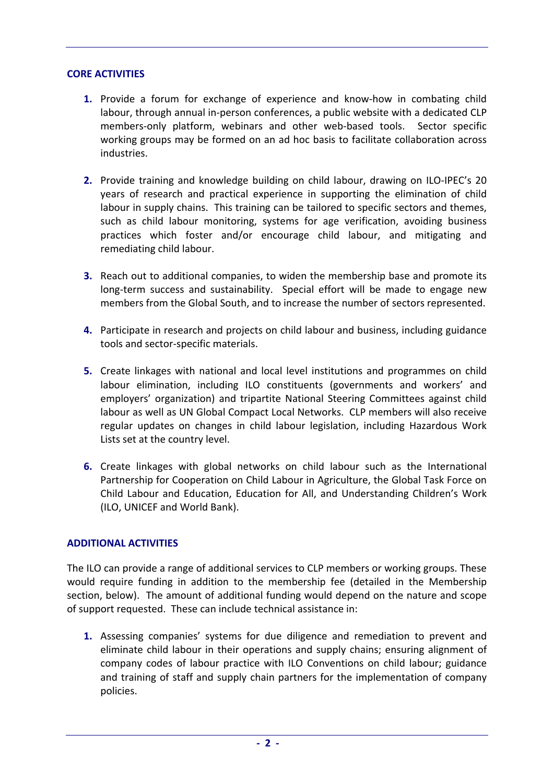#### **CORE ACTIVITIES**

- **1.** Provide a forum for exchange of experience and know‐how in combating child labour, through annual in-person conferences, a public website with a dedicated CLP members-only platform, webinars and other web-based tools. Sector specific working groups may be formed on an ad hoc basis to facilitate collaboration across industries.
- **2.** Provide training and knowledge building on child labour, drawing on ILO‐IPEC's 20 years of research and practical experience in supporting the elimination of child labour in supply chains. This training can be tailored to specific sectors and themes, such as child labour monitoring, systems for age verification, avoiding business practices which foster and/or encourage child labour, and mitigating and remediating child labour.
- **3.** Reach out to additional companies, to widen the membership base and promote its long-term success and sustainability. Special effort will be made to engage new members from the Global South, and to increase the number of sectors represented.
- **4.** Participate in research and projects on child labour and business, including guidance tools and sector‐specific materials.
- **5.** Create linkages with national and local level institutions and programmes on child labour elimination, including ILO constituents (governments and workers' and employers' organization) and tripartite National Steering Committees against child labour as well as UN Global Compact Local Networks. CLP members will also receive regular updates on changes in child labour legislation, including Hazardous Work Lists set at the country level.
- **6.** Create linkages with global networks on child labour such as the International Partnership for Cooperation on Child Labour in Agriculture, the Global Task Force on Child Labour and Education, Education for All, and Understanding Children's Work (ILO, UNICEF and World Bank).

# **ADDITIONAL ACTIVITIES**

The ILO can provide a range of additional services to CLP members or working groups. These would require funding in addition to the membership fee (detailed in the Membership section, below). The amount of additional funding would depend on the nature and scope of support requested. These can include technical assistance in:

**1.** Assessing companies' systems for due diligence and remediation to prevent and eliminate child labour in their operations and supply chains; ensuring alignment of company codes of labour practice with ILO Conventions on child labour; guidance and training of staff and supply chain partners for the implementation of company policies.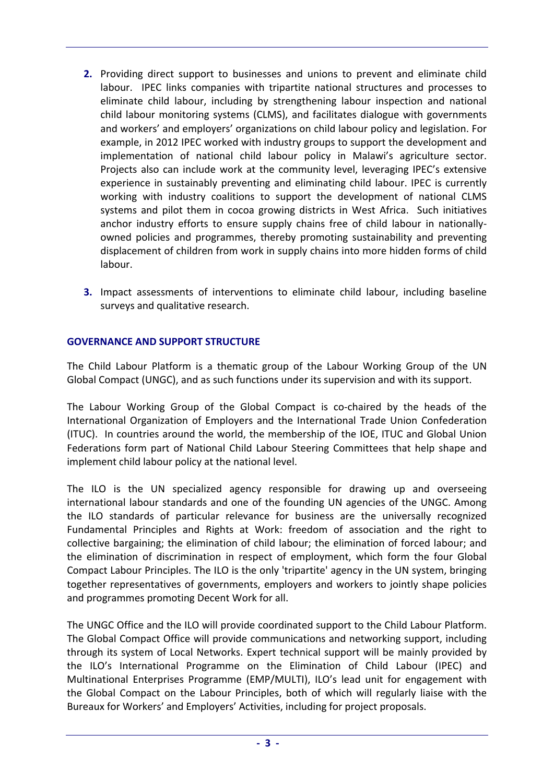- **2.** Providing direct support to businesses and unions to prevent and eliminate child labour. IPEC links companies with tripartite national structures and processes to eliminate child labour, including by strengthening labour inspection and national child labour monitoring systems (CLMS), and facilitates dialogue with governments and workers' and employers' organizations on child labour policy and legislation. For example, in 2012 IPEC worked with industry groups to support the development and implementation of national child labour policy in Malawi's agriculture sector. Projects also can include work at the community level, leveraging IPEC's extensive experience in sustainably preventing and eliminating child labour. IPEC is currently working with industry coalitions to support the development of national CLMS systems and pilot them in cocoa growing districts in West Africa. Such initiatives anchor industry efforts to ensure supply chains free of child labour in nationallyowned policies and programmes, thereby promoting sustainability and preventing displacement of children from work in supply chains into more hidden forms of child labour.
- **3.** Impact assessments of interventions to eliminate child labour, including baseline surveys and qualitative research.

# **GOVERNANCE AND SUPPORT STRUCTURE**

The Child Labour Platform is a thematic group of the Labour Working Group of the UN Global Compact (UNGC), and as such functions under its supervision and with its support.

The Labour Working Group of the Global Compact is co-chaired by the heads of the International Organization of Employers and the International Trade Union Confederation (ITUC). In countries around the world, the membership of the IOE, ITUC and Global Union Federations form part of National Child Labour Steering Committees that help shape and implement child labour policy at the national level.

The ILO is the UN specialized agency responsible for drawing up and overseeing international labour standards and one of the founding UN agencies of the UNGC. Among the ILO standards of particular relevance for business are the universally recognized Fundamental Principles and Rights at Work: freedom of association and the right to collective bargaining; the elimination of child labour; the elimination of forced labour; and the elimination of discrimination in respect of employment, which form the four Global Compact Labour Principles. The ILO is the only 'tripartite' agency in the UN system, bringing together representatives of governments, employers and workers to jointly shape policies and programmes promoting Decent Work for all.

The UNGC Office and the ILO will provide coordinated support to the Child Labour Platform. The Global Compact Office will provide communications and networking support, including through its system of Local Networks. Expert technical support will be mainly provided by the ILO's International Programme on the Elimination of Child Labour (IPEC) and Multinational Enterprises Programme (EMP/MULTI), ILO's lead unit for engagement with the Global Compact on the Labour Principles, both of which will regularly liaise with the Bureaux for Workers' and Employers' Activities, including for project proposals.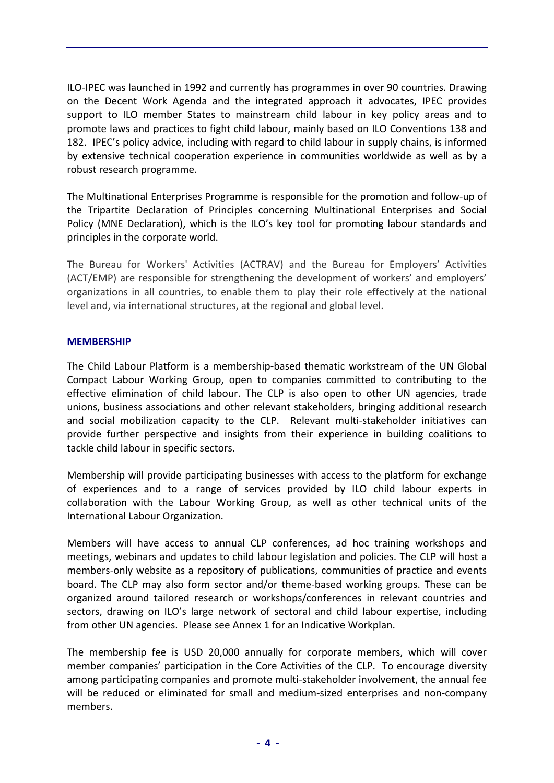ILO‐IPEC was launched in 1992 and currently has programmes in over 90 countries. Drawing on the Decent Work Agenda and the integrated approach it advocates, IPEC provides support to ILO member States to mainstream child labour in key policy areas and to promote laws and practices to fight child labour, mainly based on ILO Conventions 138 and 182. IPEC's policy advice, including with regard to child labour in supply chains, is informed by extensive technical cooperation experience in communities worldwide as well as by a robust research programme.

The Multinational Enterprises Programme is responsible for the promotion and follow‐up of the Tripartite Declaration of Principles concerning Multinational Enterprises and Social Policy (MNE Declaration), which is the ILO's key tool for promoting labour standards and principles in the corporate world.

The Bureau for Workers' Activities (ACTRAV) and the Bureau for Employers' Activities (ACT/EMP) are responsible for strengthening the development of workers' and employers' organizations in all countries, to enable them to play their role effectively at the national level and, via international structures, at the regional and global level.

#### **MEMBERSHIP**

The Child Labour Platform is a membership‐based thematic workstream of the UN Global Compact Labour Working Group, open to companies committed to contributing to the effective elimination of child labour. The CLP is also open to other UN agencies, trade unions, business associations and other relevant stakeholders, bringing additional research and social mobilization capacity to the CLP. Relevant multi-stakeholder initiatives can provide further perspective and insights from their experience in building coalitions to tackle child labour in specific sectors.

Membership will provide participating businesses with access to the platform for exchange of experiences and to a range of services provided by ILO child labour experts in collaboration with the Labour Working Group, as well as other technical units of the International Labour Organization.

Members will have access to annual CLP conferences, ad hoc training workshops and meetings, webinars and updates to child labour legislation and policies. The CLP will host a members‐only website as a repository of publications, communities of practice and events board. The CLP may also form sector and/or theme‐based working groups. These can be organized around tailored research or workshops/conferences in relevant countries and sectors, drawing on ILO's large network of sectoral and child labour expertise, including from other UN agencies. Please see Annex 1 for an Indicative Workplan.

The membership fee is USD 20,000 annually for corporate members, which will cover member companies' participation in the Core Activities of the CLP. To encourage diversity among participating companies and promote multi‐stakeholder involvement, the annual fee will be reduced or eliminated for small and medium-sized enterprises and non-company members.